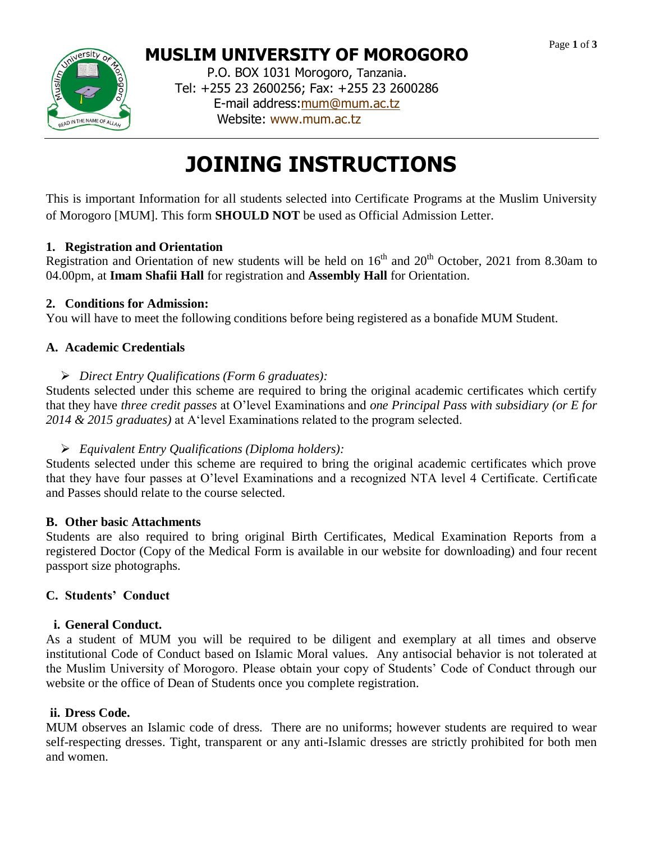

# **MUSLIM UNIVERSITY OF MOROGORO**

P.O. BOX 1031 Morogoro, Tanzania. Tel: +255 23 2600256; Fax: +255 23 2600286 E-mail address[:mum@mum.ac.tz](mailto:mum@mum.ac.tz) Website: [www.mum.ac.tz](http://www.mum.ac.tz/)

# **JOINING INSTRUCTIONS**

This is important Information for all students selected into Certificate Programs at the Muslim University of Morogoro [MUM]. This form **SHOULD NOT** be used as Official Admission Letter.

# **1. Registration and Orientation**

Registration and Orientation of new students will be held on  $16<sup>th</sup>$  and  $20<sup>th</sup>$  October, 2021 from 8.30am to 04.00pm, at **Imam Shafii Hall** for registration and **Assembly Hall** for Orientation.

# **2. Conditions for Admission:**

You will have to meet the following conditions before being registered as a bonafide MUM Student.

# **A. Academic Credentials**

*Direct Entry Qualifications (Form 6 graduates):*

Students selected under this scheme are required to bring the original academic certificates which certify that they have *three credit passes* at O'level Examinations and *one Principal Pass with subsidiary (or E for 2014 & 2015 graduates)* at A'level Examinations related to the program selected.

# *Equivalent Entry Qualifications (Diploma holders):*

Students selected under this scheme are required to bring the original academic certificates which prove that they have four passes at O'level Examinations and a recognized NTA level 4 Certificate. Certificate and Passes should relate to the course selected.

# **B. Other basic Attachments**

Students are also required to bring original Birth Certificates, Medical Examination Reports from a registered Doctor (Copy of the Medical Form is available in our website for downloading) and four recent passport size photographs.

# **C. Students' Conduct**

# **i. General Conduct.**

As a student of MUM you will be required to be diligent and exemplary at all times and observe institutional Code of Conduct based on Islamic Moral values. Any antisocial behavior is not tolerated at the Muslim University of Morogoro. Please obtain your copy of Students' Code of Conduct through our website or the office of Dean of Students once you complete registration.

# **ii. Dress Code.**

MUM observes an Islamic code of dress. There are no uniforms; however students are required to wear self-respecting dresses. Tight, transparent or any anti-Islamic dresses are strictly prohibited for both men and women.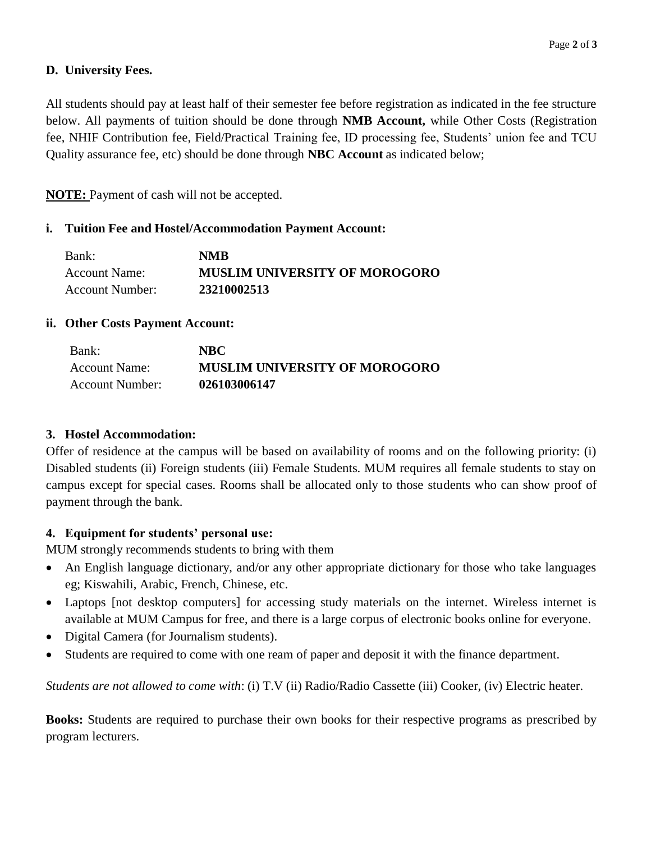# **D. University Fees.**

All students should pay at least half of their semester fee before registration as indicated in the fee structure below. All payments of tuition should be done through **NMB Account,** while Other Costs (Registration fee, NHIF Contribution fee, Field/Practical Training fee, ID processing fee, Students' union fee and TCU Quality assurance fee, etc) should be done through **NBC Account** as indicated below;

**NOTE:** Payment of cash will not be accepted.

# **i. Tuition Fee and Hostel/Accommodation Payment Account:**

| Bank:           | <b>NMB</b>                           |
|-----------------|--------------------------------------|
| Account Name:   | <b>MUSLIM UNIVERSITY OF MOROGORO</b> |
| Account Number: | 23210002513                          |

# **ii. Other Costs Payment Account:**

| Bank:           | NBC.                                 |
|-----------------|--------------------------------------|
| Account Name:   | <b>MUSLIM UNIVERSITY OF MOROGORO</b> |
| Account Number: | 026103006147                         |

# **3. Hostel Accommodation:**

Offer of residence at the campus will be based on availability of rooms and on the following priority: (i) Disabled students (ii) Foreign students (iii) Female Students. MUM requires all female students to stay on campus except for special cases. Rooms shall be allocated only to those students who can show proof of payment through the bank.

# **4. Equipment for students' personal use:**

MUM strongly recommends students to bring with them

- An English language dictionary, and/or any other appropriate dictionary for those who take languages eg; Kiswahili, Arabic, French, Chinese, etc.
- Laptops [not desktop computers] for accessing study materials on the internet. Wireless internet is available at MUM Campus for free, and there is a large corpus of electronic books online for everyone.
- Digital Camera (for Journalism students).
- Students are required to come with one ream of paper and deposit it with the finance department.

*Students are not allowed to come with*: (i) T.V (ii) Radio/Radio Cassette (iii) Cooker, (iv) Electric heater.

**Books:** Students are required to purchase their own books for their respective programs as prescribed by program lecturers.